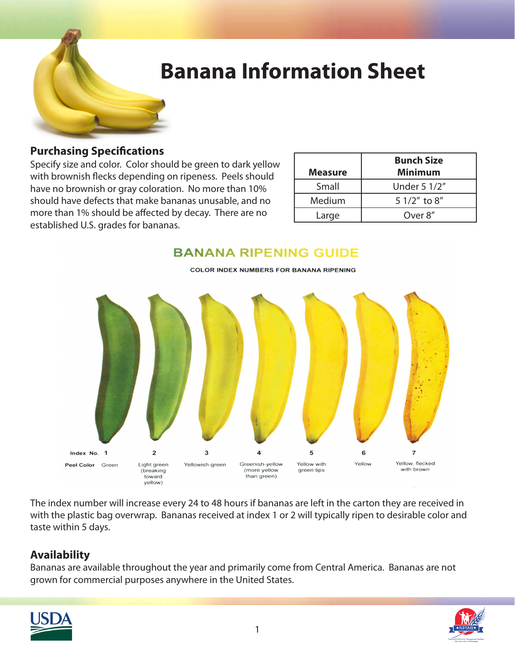

# **Banana Information Sheet**

#### **Purchasing Specifications**

Specify size and color. Color should be green to dark yellow with brownish flecks depending on ripeness. Peels should have no brownish or gray coloration. No more than 10% should have defects that make bananas unusable, and no more than 1% should be affected by decay. There are no established U.S. grades for bananas.

| <b>Measure</b> | <b>Bunch Size</b><br><b>Minimum</b> |
|----------------|-------------------------------------|
| Small          | Under 5 1/2"                        |
| Medium         | 5 1/2" to 8"                        |
| Large          | Over 8"                             |

### **BANANA RIPENING GUIDE**



**COLOR INDEX NUMBERS FOR BANANA RIPENING** 

The index number will increase every 24 to 48 hours if bananas are left in the carton they are received in with the plastic bag overwrap. Bananas received at index 1 or 2 will typically ripen to desirable color and taste within 5 days.

#### **Availability**

Bananas are available throughout the year and primarily come from Central America. Bananas are not grown for commercial purposes anywhere in the United States.